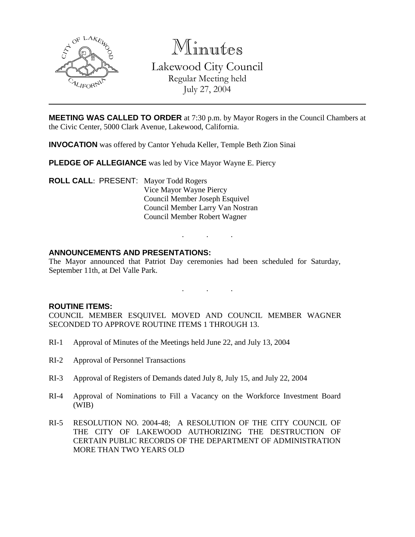

Minutes

Lakewood City Council Regular Meeting held

July 27, 2004

**MEETING WAS CALLED TO ORDER** at 7:30 p.m. by Mayor Rogers in the Council Chambers at the Civic Center, 5000 Clark Avenue, Lakewood, California.

**INVOCATION** was offered by Cantor Yehuda Keller, Temple Beth Zion Sinai

**PLEDGE OF ALLEGIANCE** was led by Vice Mayor Wayne E. Piercy

**ROLL CALL**: PRESENT: Mayor Todd Rogers Vice Mayor Wayne Piercy Council Member Joseph Esquivel Council Member Larry Van Nostran Council Member Robert Wagner

# **ANNOUNCEMENTS AND PRESENTATIONS:**

The Mayor announced that Patriot Day ceremonies had been scheduled for Saturday, September 11th, at Del Valle Park.

. . .

 $\ddot{\phantom{0}}$ 

## **ROUTINE ITEMS:**

COUNCIL MEMBER ESQUIVEL MOVED AND COUNCIL MEMBER WAGNER SECONDED TO APPROVE ROUTINE ITEMS 1 THROUGH 13.

- RI-1 Approval of Minutes of the Meetings held June 22, and July 13, 2004
- RI-2 Approval of Personnel Transactions
- RI-3 Approval of Registers of Demands dated July 8, July 15, and July 22, 2004
- RI-4 Approval of Nominations to Fill a Vacancy on the Workforce Investment Board (WIB)
- RI-5 RESOLUTION NO. 2004-48; A RESOLUTION OF THE CITY COUNCIL OF THE CITY OF LAKEWOOD AUTHORIZING THE DESTRUCTION OF CERTAIN PUBLIC RECORDS OF THE DEPARTMENT OF ADMINISTRATION MORE THAN TWO YEARS OLD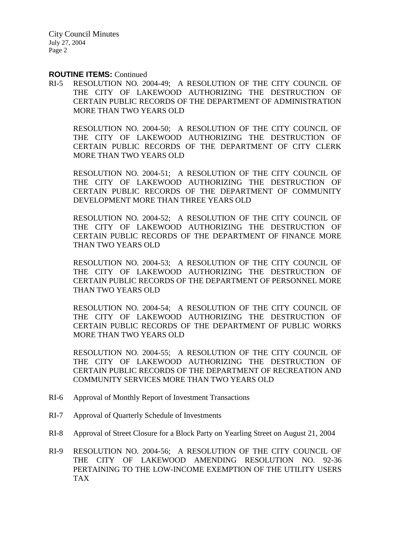City Council Minutes July 27, 2004 Page 2

#### **ROUTINE ITEMS:** Continued

RI-5 RESOLUTION NO. 2004-49; A RESOLUTION OF THE CITY COUNCIL OF THE CITY OF LAKEWOOD AUTHORIZING THE DESTRUCTION OF CERTAIN PUBLIC RECORDS OF THE DEPARTMENT OF ADMINISTRATION MORE THAN TWO YEARS OLD

RESOLUTION NO. 2004-50; A RESOLUTION OF THE CITY COUNCIL OF THE CITY OF LAKEWOOD AUTHORIZING THE DESTRUCTION OF CERTAIN PUBLIC RECORDS OF THE DEPARTMENT OF CITY CLERK MORE THAN TWO YEARS OLD

RESOLUTION NO. 2004-51; A RESOLUTION OF THE CITY COUNCIL OF THE CITY OF LAKEWOOD AUTHORIZING THE DESTRUCTION OF CERTAIN PUBLIC RECORDS OF THE DEPARTMENT OF COMMUNITY DEVELOPMENT MORE THAN THREE YEARS OLD

RESOLUTION NO. 2004-52; A RESOLUTION OF THE CITY COUNCIL OF THE CITY OF LAKEWOOD AUTHORIZING THE DESTRUCTION OF CERTAIN PUBLIC RECORDS OF THE DEPARTMENT OF FINANCE MORE THAN TWO YEARS OLD

RESOLUTION NO. 2004-53; A RESOLUTION OF THE CITY COUNCIL OF THE CITY OF LAKEWOOD AUTHORIZING THE DESTRUCTION OF CERTAIN PUBLIC RECORDS OF THE DEPARTMENT OF PERSONNEL MORE THAN TWO YEARS OLD

RESOLUTION NO. 2004-54; A RESOLUTION OF THE CITY COUNCIL OF THE CITY OF LAKEWOOD AUTHORIZING THE DESTRUCTION OF CERTAIN PUBLIC RECORDS OF THE DEPARTMENT OF PUBLIC WORKS MORE THAN TWO YEARS OLD

RESOLUTION NO. 2004-55; A RESOLUTION OF THE CITY COUNCIL OF THE CITY OF LAKEWOOD AUTHORIZING THE DESTRUCTION OF CERTAIN PUBLIC RECORDS OF THE DEPARTMENT OF RECREATION AND COMMUNITY SERVICES MORE THAN TWO YEARS OLD

- RI-6 Approval of Monthly Report of Investment Transactions
- RI-7 Approval of Quarterly Schedule of Investments
- RI-8 Approval of Street Closure for a Block Party on Yearling Street on August 21, 2004
- RI-9 RESOLUTION NO. 2004-56; A RESOLUTION OF THE CITY COUNCIL OF THE CITY OF LAKEWOOD AMENDING RESOLUTION NO. 92-36 PERTAINING TO THE LOW-INCOME EXEMPTION OF THE UTILITY USERS TAX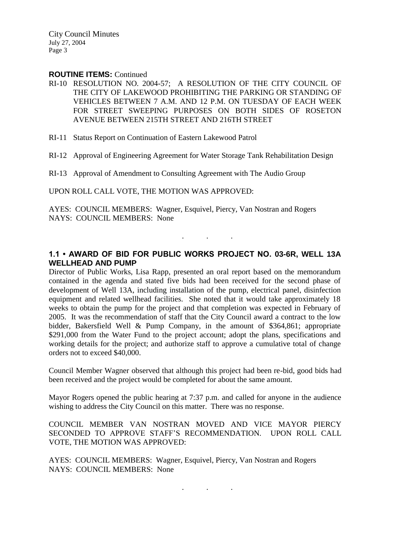City Council Minutes July 27, 2004 Page 3

#### **ROUTINE ITEMS:** Continued

- RI-10 RESOLUTION NO. 2004-57; A RESOLUTION OF THE CITY COUNCIL OF THE CITY OF LAKEWOOD PROHIBITING THE PARKING OR STANDING OF VEHICLES BETWEEN 7 A.M. AND 12 P.M. ON TUESDAY OF EACH WEEK FOR STREET SWEEPING PURPOSES ON BOTH SIDES OF ROSETON AVENUE BETWEEN 215TH STREET AND 216TH STREET
- RI-11 Status Report on Continuation of Eastern Lakewood Patrol

RI-12 Approval of Engineering Agreement for Water Storage Tank Rehabilitation Design

RI-13 Approval of Amendment to Consulting Agreement with The Audio Group

UPON ROLL CALL VOTE, THE MOTION WAS APPROVED:

AYES: COUNCIL MEMBERS: Wagner, Esquivel, Piercy, Van Nostran and Rogers NAYS: COUNCIL MEMBERS: None

### **1.1 • AWARD OF BID FOR PUBLIC WORKS PROJECT NO. 03-6R, WELL 13A WELLHEAD AND PUMP**

. . .

Director of Public Works, Lisa Rapp, presented an oral report based on the memorandum contained in the agenda and stated five bids had been received for the second phase of development of Well 13A, including installation of the pump, electrical panel, disinfection equipment and related wellhead facilities. She noted that it would take approximately 18 weeks to obtain the pump for the project and that completion was expected in February of 2005. It was the recommendation of staff that the City Council award a contract to the low bidder, Bakersfield Well & Pump Company, in the amount of \$364,861; appropriate \$291,000 from the Water Fund to the project account; adopt the plans, specifications and working details for the project; and authorize staff to approve a cumulative total of change orders not to exceed \$40,000.

Council Member Wagner observed that although this project had been re-bid, good bids had been received and the project would be completed for about the same amount.

Mayor Rogers opened the public hearing at 7:37 p.m. and called for anyone in the audience wishing to address the City Council on this matter. There was no response.

COUNCIL MEMBER VAN NOSTRAN MOVED AND VICE MAYOR PIERCY SECONDED TO APPROVE STAFF'S RECOMMENDATION. UPON ROLL CALL VOTE, THE MOTION WAS APPROVED:

AYES: COUNCIL MEMBERS: Wagner, Esquivel, Piercy, Van Nostran and Rogers NAYS: COUNCIL MEMBERS: None

. . .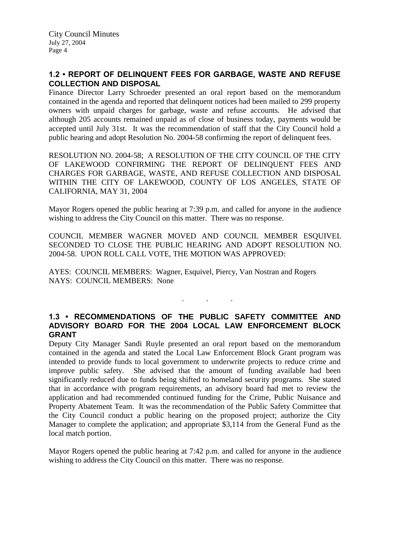# **1.2 • REPORT OF DELINQUENT FEES FOR GARBAGE, WASTE AND REFUSE COLLECTION AND DISPOSAL**

Finance Director Larry Schroeder presented an oral report based on the memorandum contained in the agenda and reported that delinquent notices had been mailed to 299 property owners with unpaid charges for garbage, waste and refuse accounts. He advised that although 205 accounts remained unpaid as of close of business today, payments would be accepted until July 31st. It was the recommendation of staff that the City Council hold a public hearing and adopt Resolution No. 2004-58 confirming the report of delinquent fees.

RESOLUTION NO. 2004-58; A RESOLUTION OF THE CITY COUNCIL OF THE CITY OF LAKEWOOD CONFIRMING THE REPORT OF DELINQUENT FEES AND CHARGES FOR GARBAGE, WASTE, AND REFUSE COLLECTION AND DISPOSAL WITHIN THE CITY OF LAKEWOOD, COUNTY OF LOS ANGELES, STATE OF CALIFORNIA, MAY 31, 2004

Mayor Rogers opened the public hearing at 7:39 p.m. and called for anyone in the audience wishing to address the City Council on this matter. There was no response.

COUNCIL MEMBER WAGNER MOVED AND COUNCIL MEMBER ESQUIVEL SECONDED TO CLOSE THE PUBLIC HEARING AND ADOPT RESOLUTION NO. 2004-58. UPON ROLL CALL VOTE, THE MOTION WAS APPROVED:

AYES: COUNCIL MEMBERS: Wagner, Esquivel, Piercy, Van Nostran and Rogers NAYS: COUNCIL MEMBERS: None

## **1.3 • RECOMMENDATIONS OF THE PUBLIC SAFETY COMMITTEE AND ADVISORY BOARD FOR THE 2004 LOCAL LAW ENFORCEMENT BLOCK GRANT**

. . .

Deputy City Manager Sandi Ruyle presented an oral report based on the memorandum contained in the agenda and stated the Local Law Enforcement Block Grant program was intended to provide funds to local government to underwrite projects to reduce crime and improve public safety. She advised that the amount of funding available had been significantly reduced due to funds being shifted to homeland security programs. She stated that in accordance with program requirements, an advisory board had met to review the application and had recommended continued funding for the Crime, Public Nuisance and Property Abatement Team. It was the recommendation of the Public Safety Committee that the City Council conduct a public hearing on the proposed project; authorize the City Manager to complete the application; and appropriate \$3,114 from the General Fund as the local match portion.

Mayor Rogers opened the public hearing at 7:42 p.m. and called for anyone in the audience wishing to address the City Council on this matter. There was no response.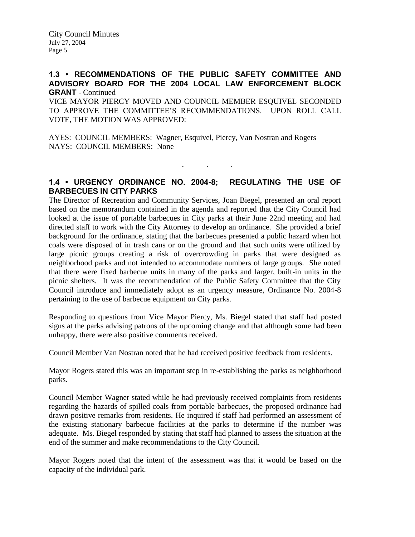# **1.3 • RECOMMENDATIONS OF THE PUBLIC SAFETY COMMITTEE AND ADVISORY BOARD FOR THE 2004 LOCAL LAW ENFORCEMENT BLOCK GRANT** - Continued

VICE MAYOR PIERCY MOVED AND COUNCIL MEMBER ESQUIVEL SECONDED TO APPROVE THE COMMITTEE'S RECOMMENDATIONS. UPON ROLL CALL VOTE, THE MOTION WAS APPROVED:

AYES: COUNCIL MEMBERS: Wagner, Esquivel, Piercy, Van Nostran and Rogers NAYS: COUNCIL MEMBERS: None

**1.4 • URGENCY ORDINANCE NO. 2004-8; REGULATING THE USE OF BARBECUES IN CITY PARKS**

. . .

The Director of Recreation and Community Services, Joan Biegel, presented an oral report based on the memorandum contained in the agenda and reported that the City Council had looked at the issue of portable barbecues in City parks at their June 22nd meeting and had directed staff to work with the City Attorney to develop an ordinance. She provided a brief background for the ordinance, stating that the barbecues presented a public hazard when hot coals were disposed of in trash cans or on the ground and that such units were utilized by large picnic groups creating a risk of overcrowding in parks that were designed as neighborhood parks and not intended to accommodate numbers of large groups. She noted that there were fixed barbecue units in many of the parks and larger, built-in units in the picnic shelters. It was the recommendation of the Public Safety Committee that the City Council introduce and immediately adopt as an urgency measure, Ordinance No. 2004-8 pertaining to the use of barbecue equipment on City parks.

Responding to questions from Vice Mayor Piercy, Ms. Biegel stated that staff had posted signs at the parks advising patrons of the upcoming change and that although some had been unhappy, there were also positive comments received.

Council Member Van Nostran noted that he had received positive feedback from residents.

Mayor Rogers stated this was an important step in re-establishing the parks as neighborhood parks.

Council Member Wagner stated while he had previously received complaints from residents regarding the hazards of spilled coals from portable barbecues, the proposed ordinance had drawn positive remarks from residents. He inquired if staff had performed an assessment of the existing stationary barbecue facilities at the parks to determine if the number was adequate. Ms. Biegel responded by stating that staff had planned to assess the situation at the end of the summer and make recommendations to the City Council.

Mayor Rogers noted that the intent of the assessment was that it would be based on the capacity of the individual park.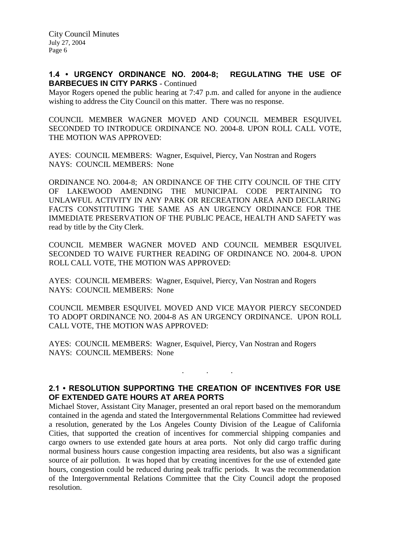### **1.4 • URGENCY ORDINANCE NO. 2004-8; REGULATING THE USE OF BARBECUES IN CITY PARKS** - Continued

Mayor Rogers opened the public hearing at 7:47 p.m. and called for anyone in the audience wishing to address the City Council on this matter. There was no response.

COUNCIL MEMBER WAGNER MOVED AND COUNCIL MEMBER ESQUIVEL SECONDED TO INTRODUCE ORDINANCE NO. 2004-8. UPON ROLL CALL VOTE, THE MOTION WAS APPROVED:

AYES: COUNCIL MEMBERS: Wagner, Esquivel, Piercy, Van Nostran and Rogers NAYS: COUNCIL MEMBERS: None

ORDINANCE NO. 2004-8; AN ORDINANCE OF THE CITY COUNCIL OF THE CITY OF LAKEWOOD AMENDING THE MUNICIPAL CODE PERTAINING TO UNLAWFUL ACTIVITY IN ANY PARK OR RECREATION AREA AND DECLARING FACTS CONSTITUTING THE SAME AS AN URGENCY ORDINANCE FOR THE IMMEDIATE PRESERVATION OF THE PUBLIC PEACE, HEALTH AND SAFETY was read by title by the City Clerk.

COUNCIL MEMBER WAGNER MOVED AND COUNCIL MEMBER ESQUIVEL SECONDED TO WAIVE FURTHER READING OF ORDINANCE NO. 2004-8. UPON ROLL CALL VOTE, THE MOTION WAS APPROVED:

AYES: COUNCIL MEMBERS: Wagner, Esquivel, Piercy, Van Nostran and Rogers NAYS: COUNCIL MEMBERS: None

COUNCIL MEMBER ESQUIVEL MOVED AND VICE MAYOR PIERCY SECONDED TO ADOPT ORDINANCE NO. 2004-8 AS AN URGENCY ORDINANCE. UPON ROLL CALL VOTE, THE MOTION WAS APPROVED:

AYES: COUNCIL MEMBERS: Wagner, Esquivel, Piercy, Van Nostran and Rogers NAYS: COUNCIL MEMBERS: None

# **2.1 • RESOLUTION SUPPORTING THE CREATION OF INCENTIVES FOR USE OF EXTENDED GATE HOURS AT AREA PORTS**

. . .

Michael Stover, Assistant City Manager, presented an oral report based on the memorandum contained in the agenda and stated the Intergovernmental Relations Committee had reviewed a resolution, generated by the Los Angeles County Division of the League of California Cities, that supported the creation of incentives for commercial shipping companies and cargo owners to use extended gate hours at area ports. Not only did cargo traffic during normal business hours cause congestion impacting area residents, but also was a significant source of air pollution. It was hoped that by creating incentives for the use of extended gate hours, congestion could be reduced during peak traffic periods. It was the recommendation of the Intergovernmental Relations Committee that the City Council adopt the proposed resolution.